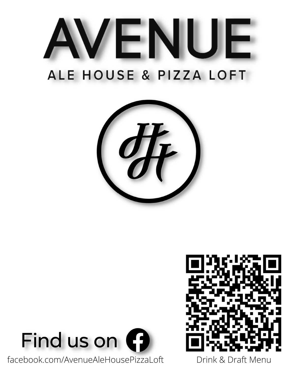# VENUE ALE HOUSE & PIZZA LOFT





facebook.com/AvenueAleHousePizzaLoft Drink & Draft Menu

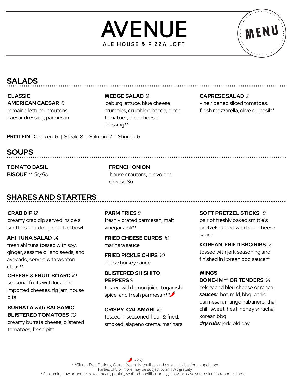



# **SALADS**

**CLASSIC AMERICAN CAESAR** *8* romaine lettuce, croutons, caesar dressing, parmesan **WEDGE SALAD** 9 iceburg lettuce, blue cheese crumbles, crumbled bacon, diced tomatoes, bleu cheese dressing\*\*

**CAPRESE SALAD** *9*

vine ripened sliced tomatoes, fresh mozzarella, olive oil, basil\*\*

**PROTEIN:** Chicken 6 | Steak 8 | Salmon 7 | Shrimp 6

**SOUPS**

**TOMATO BASIL BISQUE** \*\* *5c/8b* **FRENCH ONION** house croutons, provolone cheese *8b*

# **SHARES AND STARTERS**

**CRAB DIP** *12* creamy crab dip served inside a smittie's sourdough pretzel bowl

**AHI TUNA SALAD** *14* fresh ahi tuna tossed with soy, ginger, sesame oil and seeds, and avocado, served with wonton chips\*\*

**CHEESE & FRUIT BOARD** *10* seasonal fruits with local and imported cheeses, fig jam, house pita

**BURRATA with BALSAMIC BLISTERED TOMATOES** *10* creamy burrata cheese, blistered tomatoes, fresh pita

**PARM FRIES** *8* freshly grated parmesan, malt vinegar aioli\*\*

**FRIED CHEESE CURDS** *10* marinara sauce

**FRIED PICKLE CHIPS** *10* house horsey sauce

**BLISTERED SHISHITO PEPPERS** *9*

tossed with lemon juice, togarashi spice, and fresh parmesan\*\*

**CRISPY CALAMARI** *10* tossed in seasoned flour & fried, smoked jalapeno crema, marinara **SOFT PRETZEL STICKS** *8* pair of freshly baked smittie's pretzels paired with beer cheese sauce

**KOREAN FRIED BBQ RIBS** 12 tossed with jerk seasoning and finished in korean bbq sauce\*\*

## **WINGS**

**BONE-IN** \*\* **OR TENDERS** *14*

celery and bleu cheese or ranch. *sauces:* hot, mild, bbq, garlic parmesan, mango habanero, thai chili, sweet-heat, honey sriracha, korean bbq *dry rubs:* jerk, old bay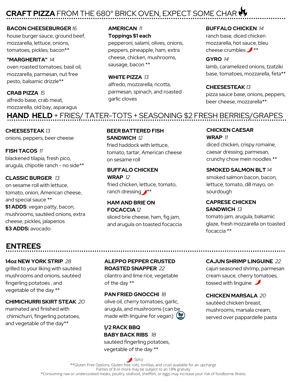# **CRAFT PIZZA** FROM THE 680° BRICK OVEN, EXPECT SOME CHAR

#### **BACON CHEESEBURGER** *16*

house burger sauce, ground beef. mozzarella, lettuce, onions, tomatoes, pickles, bacon\*\*

#### **"MARGHERITA"** *14*

oven roasted tomatoes, basil oil, mozzarella, parmesan, nut free pesto, balsamic drizzle\*\*

#### **CRAB PIZZA** *15*

alfredo base, crab meat, mozzarella, old bay, asparagus

# **AMERICAN** *11*

**Toppings \$1 each** pepperoni, salami, olives, onions,

peppers, pineapple, ham, extra cheese, chicken, mushrooms, sausage, bacon \*\*

## **WHITE PIZZA** *13*

alfredo, mozzarella, ricotta, parmesan, spinach, and roasted garlic cloves

#### **BUFFALO CHICKEN** *14*

ranch base, diced chicken mozzarella, hot sauce, bleu cheese crumbles  $\mathcal{I}^{**}$ 

#### **GYRO** *14*

lamb, caramelized onions, tzatziki base, tomatoes, mozzarella, feta\*\*

#### **CHEESESTEAK** *13*

pizza sauce base, onions, peppers, beer cheese, mozzarella\*\*

# **HAND HELD** + FRIES/ TATER-TOTS + SEASONING \$2 FRESH BERRIES/GRAPES

**CHEESESTEAK** *13* onions, peppers, beer cheese

**FISH TACOS** *11* blackened tilapia, fresh pico, arugula, chipotle ranch - no side\*\*

## **CLASSIC BURGER** *13*

on sesame roll with lettuce, tomato, onion, American cheese, and special sauce \*\* **\$1 ADDS**: vegan patty, bacon, mushrooms, sautéed onions, extra cheese, pickles, jalapenos **\$3 ADDS:** avocado

## **BEER BATTERED FISH SANDWICH** *12* fried haddock with lettuce,

tomato, tartar, American cheese on sesame roll

**BUFFALO CHICKEN WRAP** *12* fried chicken, lettuce, tomato, ranch dressing  $A^{**}$ 

## **HAM AND BRIE ON FOCACCIA** *12* sliced brie cheese, ham, fig jam, and arugula on toasted focaccia

#### **CHICKEN CAESAR WRAP** *11*

diced chicken, crispy romaine, caesar dressing, parmesan, crunchy chow mein noodles \*\*

## **SMOKED SALMON BLT** *14*

smoked salmon bacon, bacon, lettuce, tomato, dill mayo, on sourdough

## **CAPRESE CHICKEN SANDWICH** *13*

tomato jam, arugula, balsamic glaze, fresh mozzarella on toasted focaccia \*\*

# **ENTREES**

**14oz NEW YORK STRIP** *28* grilled to your liking with sautéed mushrooms and onions, sautéed fingerling potatoes , and vegetable of the day \*\*

#### **CHIMICHURRI SKIRT STEAK** *20*

marinated and finished with chimichurri, fingerling potatoes, and vegetable of the day\*\*

**ALEPPO PEPPER CRUSTED ROASTED SNAPPER** *22*

cilantro and lime rice, vegetable of the day \*\*

**PAN FRIED GNOCCHI** *18* olive oil, cherry tomatoes, garlic, arugula, and mushrooms (can be made with linguine for vegan)  $($ 

**1/2 RACK BBQ BABY BACK RIBS** *18* sautéed fingerling potatoes, vegetable of the day \*\*

## **CAJUN SHRIMP LINGUINE** *22*

cajun seasoned shrimp, parmesan cream sauce, cherry tomatoes, tossed with linguine  $\mathcal{L}$ 

#### **CHICKEN MARSALA** *20*

sautéed chicken breast, mushrooms, marsala cream, served over pappardelle pasta

\*Consuming raw or undercooked meats, poultry, seafood, shellfish, or eggs may increase your risk of foodborne illness. Parties of 8 or more may be subject to an 18% gratuity Spicy \*\*Gluten Free Options, Gluten free rolls, tortillas, and crust available for an upcharge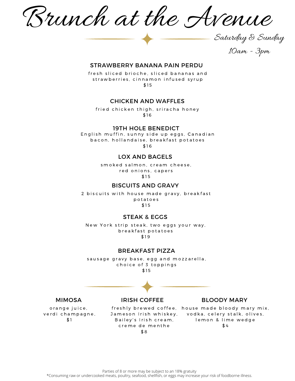Brunch at the Avenue

10am - 3pm

Saturday & Sunday

#### STRAWBERRY BANANA PAIN PERDU

fresh sliced brioche, sliced bananas and strawberries, cinnamon infused syrup \$ 1 5

#### CHICKEN AND WAFFLES

fried chicken thigh, sriracha honey \$ 1 6

#### 19TH HOLE BENEDICT

English muffin, sunny side up eggs, Canadian bacon, hollandaise, breakfast potatoes \$ 1 6

#### LOX AND BAGELS

smoked salmon, cream cheese, red onions, capers \$ 1 5

#### BISCUITS AND GRAVY

2 biscuits with house made gravy, breakfast p o t a t o e s \$ 1 5

#### STEAK & EGGS

New York strip steak, two eggs your way, breakfast potatoes \$ 1 9

#### BREAKFAST PIZZA

sausage gravy base, egg and mozzarella, choice of 3 toppings \$ 1 5

#### MIMOSA

orange juice, verdi champagne, \$ 1

freshly brewed coffee, house made bloody mary mix, Bailey's Irish cream, creme de menthe \$ 8

IRISH COFFEE

#### BLOODY MARY

Jameson Irish whiskey, vodka, celery stalk, olives, lemon & lime wedge \$ 4

\*Consuming raw or undercooked meats, poultry, seafood, shellfish, or eggs may increase your risk of foodborne illness. Parties of 8 or more may be subject to an 18% gratuity